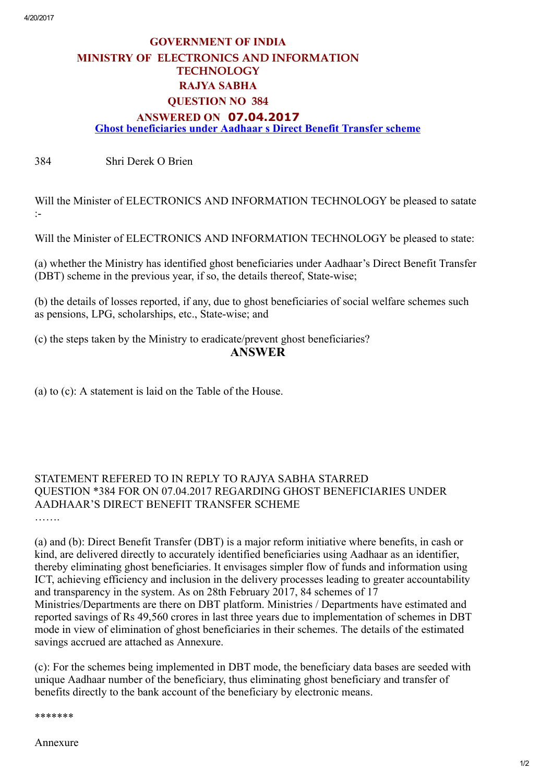## GOVERNMENT OF INDIA MINISTRY OF ELECTRONICS AND INFORMATION **TECHNOLOGY** RAJYA SABHA QUESTION NO 384 ANSWERED ON 07.04.2017 Ghost beneficiaries under Aadhaar s Direct Benefit Transfer scheme

384 Shri Derek O Brien

Will the Minister of ELECTRONICS AND INFORMATION TECHNOLOGY be pleased to satate :

Will the Minister of ELECTRONICS AND INFORMATION TECHNOLOGY be pleased to state:

(a) whether the Ministry has identified ghost beneficiaries under Aadhaar's Direct Benefit Transfer (DBT) scheme in the previous year, if so, the details thereof, State-wise;

(b) the details of losses reported, if any, due to ghost beneficiaries of social welfare schemes such as pensions, LPG, scholarships, etc., State-wise; and

(c) the steps taken by the Ministry to eradicate/prevent ghost beneficiaries?

## ANSWER

(a) to (c): A statement is laid on the Table of the House.

## STATEMENT REFERED TO IN REPLY TO RAJYA SABHA STARRED QUESTION \*384 FOR ON 07.04.2017 REGARDING GHOST BENEFICIARIES UNDER AADHAAR'S DIRECT BENEFIT TRANSFER SCHEME

……

(a) and (b): Direct Benefit Transfer (DBT) is a major reform initiative where benefits, in cash or kind, are delivered directly to accurately identified beneficiaries using Aadhaar as an identifier, thereby eliminating ghost beneficiaries. It envisages simpler flow of funds and information using ICT, achieving efficiency and inclusion in the delivery processes leading to greater accountability and transparency in the system. As on 28th February 2017, 84 schemes of 17 Ministries/Departments are there on DBT platform. Ministries / Departments have estimated and reported savings of Rs 49,560 crores in last three years due to implementation of schemes in DBT mode in view of elimination of ghost beneficiaries in their schemes. The details of the estimated savings accrued are attached as Annexure.

(c): For the schemes being implemented in DBT mode, the beneficiary data bases are seeded with unique Aadhaar number of the beneficiary, thus eliminating ghost beneficiary and transfer of benefits directly to the bank account of the beneficiary by electronic means.

\*\*\*\*\*\*\*

Annexure